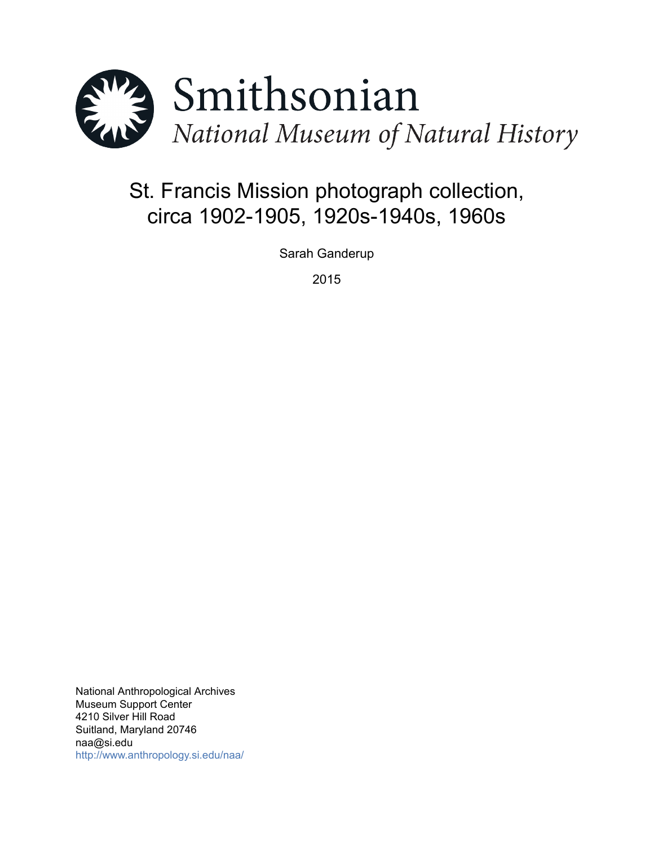

# St. Francis Mission photograph collection, circa 1902-1905, 1920s-1940s, 1960s

Sarah Ganderup

2015

National Anthropological Archives Museum Support Center 4210 Silver Hill Road Suitland, Maryland 20746 naa@si.edu <http://www.anthropology.si.edu/naa/>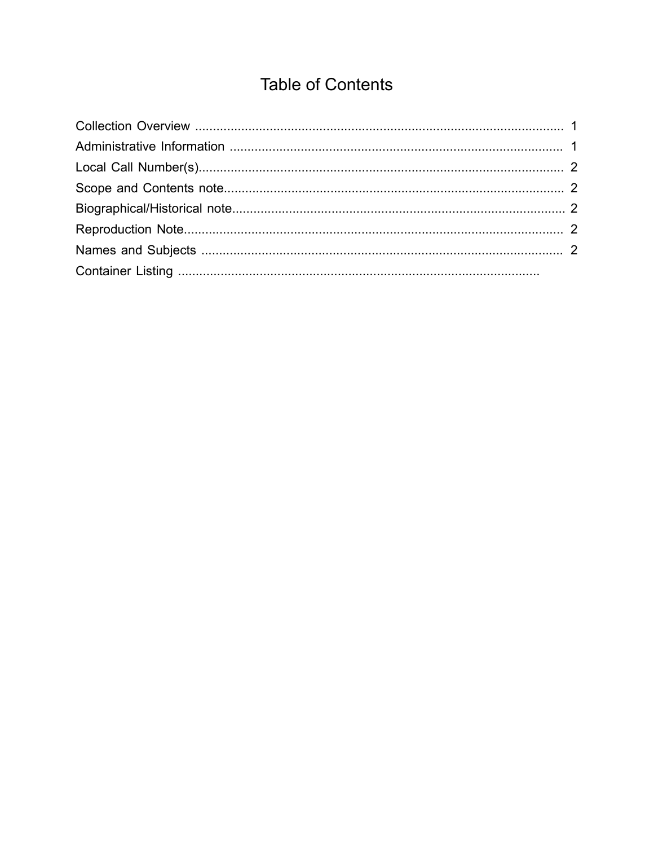## **Table of Contents**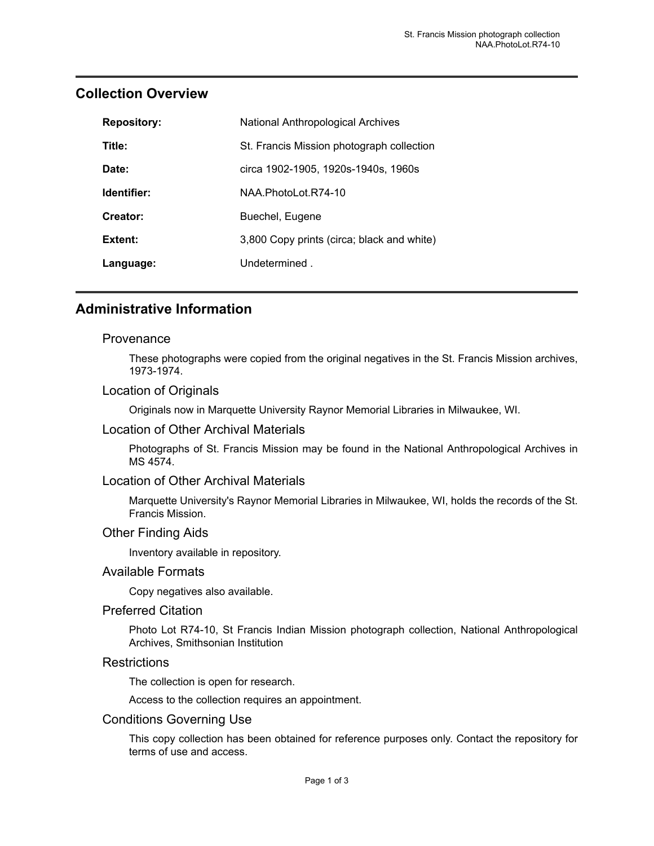| <b>Repository:</b> | National Anthropological Archives          |
|--------------------|--------------------------------------------|
| Title:             | St. Francis Mission photograph collection  |
| Date:              | circa 1902-1905, 1920s-1940s, 1960s        |
| Identifier:        | NAA PhotoLot R74-10                        |
| Creator:           | Buechel, Eugene                            |
| Extent:            | 3,800 Copy prints (circa; black and white) |
| Language:          | Undetermined.                              |

### <span id="page-2-0"></span>**Collection Overview**

### <span id="page-2-1"></span>**Administrative Information**

#### **Provenance**

These photographs were copied from the original negatives in the St. Francis Mission archives, 1973-1974.

#### Location of Originals

Originals now in Marquette University Raynor Memorial Libraries in Milwaukee, WI.

#### Location of Other Archival Materials

Photographs of St. Francis Mission may be found in the National Anthropological Archives in MS 4574.

#### Location of Other Archival Materials

Marquette University's Raynor Memorial Libraries in Milwaukee, WI, holds the records of the St. Francis Mission.

#### Other Finding Aids

Inventory available in repository.

#### Available Formats

Copy negatives also available.

#### Preferred Citation

Photo Lot R74-10, St Francis Indian Mission photograph collection, National Anthropological Archives, Smithsonian Institution

#### **Restrictions**

The collection is open for research.

Access to the collection requires an appointment.

#### Conditions Governing Use

This copy collection has been obtained for reference purposes only. Contact the repository for terms of use and access.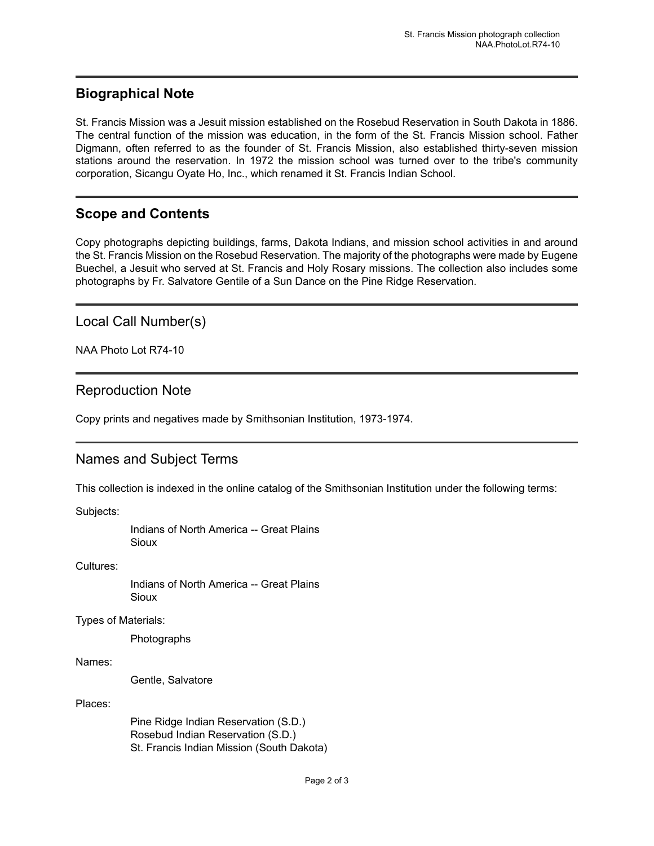## <span id="page-3-2"></span>**Biographical Note**

St. Francis Mission was a Jesuit mission established on the Rosebud Reservation in South Dakota in 1886. The central function of the mission was education, in the form of the St. Francis Mission school. Father Digmann, often referred to as the founder of St. Francis Mission, also established thirty-seven mission stations around the reservation. In 1972 the mission school was turned over to the tribe's community corporation, Sicangu Oyate Ho, Inc., which renamed it St. Francis Indian School.

## <span id="page-3-1"></span>**Scope and Contents**

Copy photographs depicting buildings, farms, Dakota Indians, and mission school activities in and around the St. Francis Mission on the Rosebud Reservation. The majority of the photographs were made by Eugene Buechel, a Jesuit who served at St. Francis and Holy Rosary missions. The collection also includes some photographs by Fr. Salvatore Gentile of a Sun Dance on the Pine Ridge Reservation.

<span id="page-3-0"></span>Local Call Number(s)

NAA Photo Lot R74-10

## <span id="page-3-3"></span>Reproduction Note

Copy prints and negatives made by Smithsonian Institution, 1973-1974.

## <span id="page-3-4"></span>Names and Subject Terms

This collection is indexed in the online catalog of the Smithsonian Institution under the following terms:

Subjects:

Indians of North America -- Great Plains Sioux

Cultures:

Indians of North America -- Great Plains **Sioux** 

Types of Materials:

Photographs

Names:

Gentle, Salvatore

Places:

Pine Ridge Indian Reservation (S.D.) Rosebud Indian Reservation (S.D.) St. Francis Indian Mission (South Dakota)